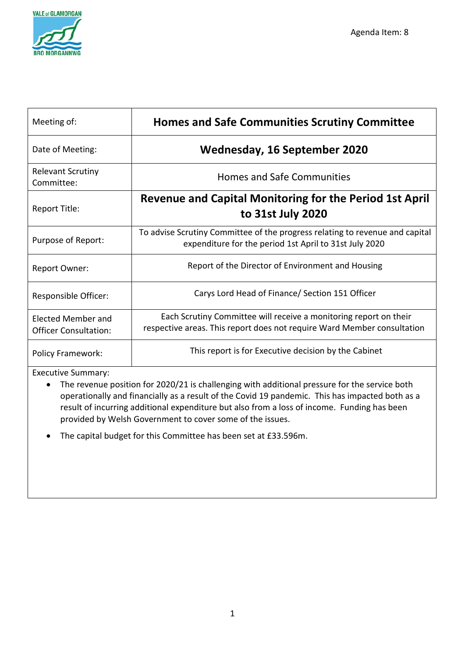

| Meeting of:                                        | <b>Homes and Safe Communities Scrutiny Committee</b>                                                                                         |
|----------------------------------------------------|----------------------------------------------------------------------------------------------------------------------------------------------|
| Date of Meeting:                                   | Wednesday, 16 September 2020                                                                                                                 |
| <b>Relevant Scrutiny</b><br>Committee:             | <b>Homes and Safe Communities</b>                                                                                                            |
| Report Title:                                      | <b>Revenue and Capital Monitoring for the Period 1st April</b><br>to 31st July 2020                                                          |
| Purpose of Report:                                 | To advise Scrutiny Committee of the progress relating to revenue and capital<br>expenditure for the period 1st April to 31st July 2020       |
| <b>Report Owner:</b>                               | Report of the Director of Environment and Housing                                                                                            |
| Responsible Officer:                               | Carys Lord Head of Finance/ Section 151 Officer                                                                                              |
| Elected Member and<br><b>Officer Consultation:</b> | Each Scrutiny Committee will receive a monitoring report on their<br>respective areas. This report does not require Ward Member consultation |
| <b>Policy Framework:</b>                           | This report is for Executive decision by the Cabinet                                                                                         |

Executive Summary:

• The revenue position for 2020/21 is challenging with additional pressure for the service both operationally and financially as a result of the Covid 19 pandemic. This has impacted both as a result of incurring additional expenditure but also from a loss of income. Funding has been provided by Welsh Government to cover some of the issues.

• The capital budget for this Committee has been set at £33.596m.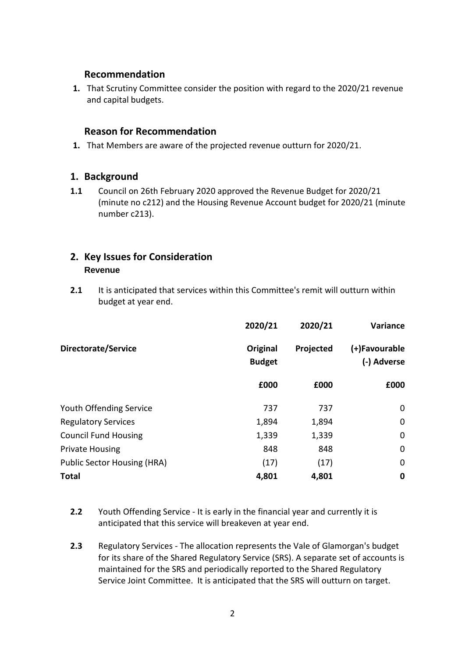## **Recommendation**

**1.** That Scrutiny Committee consider the position with regard to the 2020/21 revenue and capital budgets.

## **Reason for Recommendation**

**1.** That Members are aware of the projected revenue outturn for 2020/21.

## **1. Background**

**1.1** Council on 26th February 2020 approved the Revenue Budget for 2020/21 (minute no c212) and the Housing Revenue Account budget for 2020/21 (minute number c213).

# **2. Key Issues for Consideration Revenue**

**2.1** It is anticipated that services within this Committee's remit will outturn within budget at year end.

|                                | 2020/21                   | 2020/21   | Variance                     |
|--------------------------------|---------------------------|-----------|------------------------------|
| Directorate/Service            | Original<br><b>Budget</b> | Projected | (+)Favourable<br>(-) Adverse |
|                                | £000                      | £000      | £000                         |
| <b>Youth Offending Service</b> | 737                       | 737       | 0                            |
| <b>Regulatory Services</b>     | 1,894                     | 1,894     | 0                            |
| <b>Council Fund Housing</b>    | 1,339                     | 1,339     | 0                            |
| <b>Private Housing</b>         | 848                       | 848       | 0                            |
| Public Sector Housing (HRA)    | (17)                      | (17)      | 0                            |
| <b>Total</b>                   | 4,801                     | 4,801     | 0                            |

- **2.2** Youth Offending Service It is early in the financial year and currently it is anticipated that this service will breakeven at year end.
- **2.3** Regulatory Services The allocation represents the Vale of Glamorgan's budget for its share of the Shared Regulatory Service (SRS). A separate set of accounts is maintained for the SRS and periodically reported to the Shared Regulatory Service Joint Committee. It is anticipated that the SRS will outturn on target.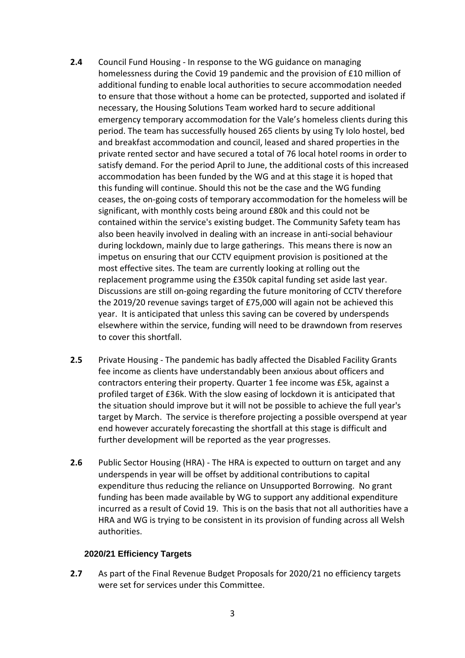- **2.4** Council Fund Housing In response to the WG guidance on managing homelessness during the Covid 19 pandemic and the provision of £10 million of additional funding to enable local authorities to secure accommodation needed to ensure that those without a home can be protected, supported and isolated if necessary, the Housing Solutions Team worked hard to secure additional emergency temporary accommodation for the Vale's homeless clients during this period. The team has successfully housed 265 clients by using Ty Iolo hostel, bed and breakfast accommodation and council, leased and shared properties in the private rented sector and have secured a total of 76 local hotel rooms in order to satisfy demand. For the period April to June, the additional costs of this increased accommodation has been funded by the WG and at this stage it is hoped that this funding will continue. Should this not be the case and the WG funding ceases, the on-going costs of temporary accommodation for the homeless will be significant, with monthly costs being around £80k and this could not be contained within the service's existing budget. The Community Safety team has also been heavily involved in dealing with an increase in anti-social behaviour during lockdown, mainly due to large gatherings. This means there is now an impetus on ensuring that our CCTV equipment provision is positioned at the most effective sites. The team are currently looking at rolling out the replacement programme using the £350k capital funding set aside last year. Discussions are still on-going regarding the future monitoring of CCTV therefore the 2019/20 revenue savings target of £75,000 will again not be achieved this year. It is anticipated that unless this saving can be covered by underspends elsewhere within the service, funding will need to be drawndown from reserves to cover this shortfall.
- **2.5** Private Housing The pandemic has badly affected the Disabled Facility Grants fee income as clients have understandably been anxious about officers and contractors entering their property. Quarter 1 fee income was £5k, against a profiled target of £36k. With the slow easing of lockdown it is anticipated that the situation should improve but it will not be possible to achieve the full year's target by March. The service is therefore projecting a possible overspend at year end however accurately forecasting the shortfall at this stage is difficult and further development will be reported as the year progresses.
- **2.6** Public Sector Housing (HRA) The HRA is expected to outturn on target and any underspends in year will be offset by additional contributions to capital expenditure thus reducing the reliance on Unsupported Borrowing. No grant funding has been made available by WG to support any additional expenditure incurred as a result of Covid 19. This is on the basis that not all authorities have a HRA and WG is trying to be consistent in its provision of funding across all Welsh authorities.

#### **2020/21 Efficiency Targets**

**2.7** As part of the Final Revenue Budget Proposals for 2020/21 no efficiency targets were set for services under this Committee.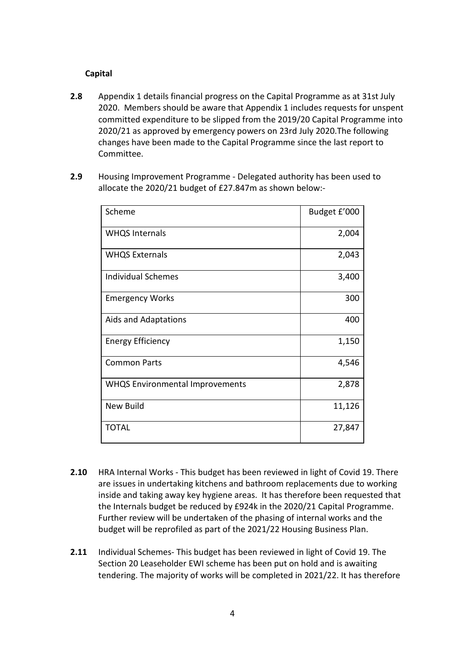### **Capital**

- **2.8** Appendix 1 details financial progress on the Capital Programme as at 31st July 2020. Members should be aware that Appendix 1 includes requests for unspent committed expenditure to be slipped from the 2019/20 Capital Programme into 2020/21 as approved by emergency powers on 23rd July 2020.The following changes have been made to the Capital Programme since the last report to Committee.
- **2.9** Housing Improvement Programme Delegated authority has been used to allocate the 2020/21 budget of £27.847m as shown below:-

| Scheme                                 | Budget £'000 |
|----------------------------------------|--------------|
| <b>WHQS Internals</b>                  | 2,004        |
| <b>WHQS Externals</b>                  | 2,043        |
| <b>Individual Schemes</b>              | 3,400        |
| <b>Emergency Works</b>                 | 300          |
| Aids and Adaptations                   | 400          |
| <b>Energy Efficiency</b>               | 1,150        |
| <b>Common Parts</b>                    | 4,546        |
| <b>WHQS Environmental Improvements</b> | 2,878        |
| New Build                              | 11,126       |
| <b>TOTAL</b>                           | 27,847       |

- **2.10** HRA Internal Works This budget has been reviewed in light of Covid 19. There are issues in undertaking kitchens and bathroom replacements due to working inside and taking away key hygiene areas. It has therefore been requested that the Internals budget be reduced by £924k in the 2020/21 Capital Programme. Further review will be undertaken of the phasing of internal works and the budget will be reprofiled as part of the 2021/22 Housing Business Plan.
- **2.11** Individual Schemes- This budget has been reviewed in light of Covid 19. The Section 20 Leaseholder EWI scheme has been put on hold and is awaiting tendering. The majority of works will be completed in 2021/22. It has therefore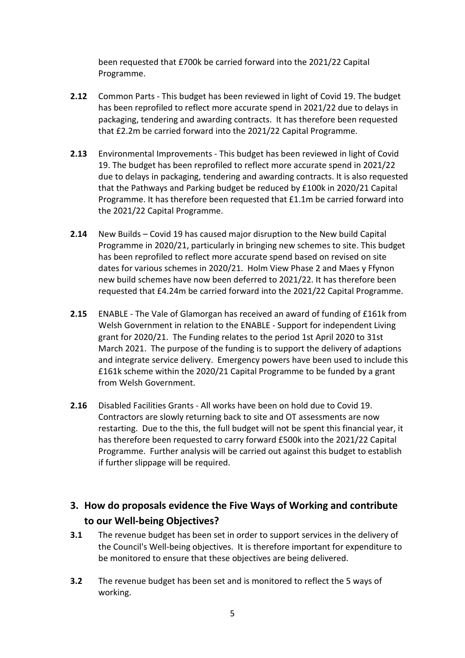been requested that £700k be carried forward into the 2021/22 Capital Programme.

- **2.12** Common Parts This budget has been reviewed in light of Covid 19. The budget has been reprofiled to reflect more accurate spend in 2021/22 due to delays in packaging, tendering and awarding contracts. It has therefore been requested that £2.2m be carried forward into the 2021/22 Capital Programme.
- **2.13** Environmental Improvements This budget has been reviewed in light of Covid 19. The budget has been reprofiled to reflect more accurate spend in 2021/22 due to delays in packaging, tendering and awarding contracts. It is also requested that the Pathways and Parking budget be reduced by £100k in 2020/21 Capital Programme. It has therefore been requested that £1.1m be carried forward into the 2021/22 Capital Programme.
- **2.14** New Builds Covid 19 has caused major disruption to the New build Capital Programme in 2020/21, particularly in bringing new schemes to site. This budget has been reprofiled to reflect more accurate spend based on revised on site dates for various schemes in 2020/21. Holm View Phase 2 and Maes y Ffynon new build schemes have now been deferred to 2021/22. It has therefore been requested that £4.24m be carried forward into the 2021/22 Capital Programme.
- **2.15** ENABLE The Vale of Glamorgan has received an award of funding of £161k from Welsh Government in relation to the ENABLE - Support for independent Living grant for 2020/21. The Funding relates to the period 1st April 2020 to 31st March 2021. The purpose of the funding is to support the delivery of adaptions and integrate service delivery. Emergency powers have been used to include this £161k scheme within the 2020/21 Capital Programme to be funded by a grant from Welsh Government.
- **2.16** Disabled Facilities Grants All works have been on hold due to Covid 19. Contractors are slowly returning back to site and OT assessments are now restarting. Due to the this, the full budget will not be spent this financial year, it has therefore been requested to carry forward £500k into the 2021/22 Capital Programme. Further analysis will be carried out against this budget to establish if further slippage will be required.

# **3. How do proposals evidence the Five Ways of Working and contribute to our Well-being Objectives?**

- **3.1** The revenue budget has been set in order to support services in the delivery of the Council's Well-being objectives. It is therefore important for expenditure to be monitored to ensure that these objectives are being delivered.
- **3.2** The revenue budget has been set and is monitored to reflect the 5 ways of working.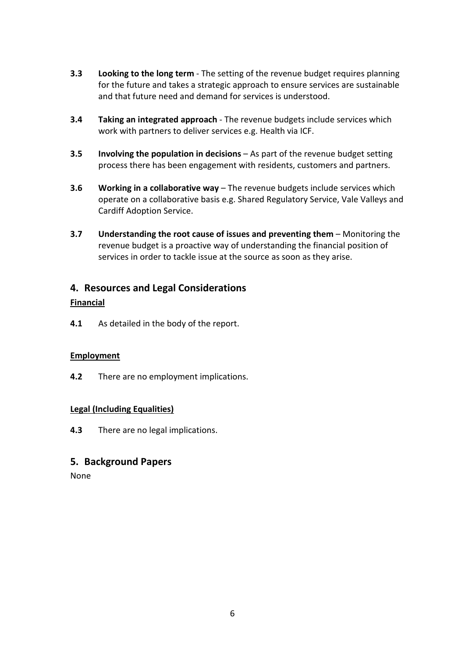- **3.3 Looking to the long term** The setting of the revenue budget requires planning for the future and takes a strategic approach to ensure services are sustainable and that future need and demand for services is understood.
- **3.4 Taking an integrated approach** The revenue budgets include services which work with partners to deliver services e.g. Health via ICF.
- **3.5 Involving the population in decisions** As part of the revenue budget setting process there has been engagement with residents, customers and partners.
- **3.6 Working in a collaborative way** The revenue budgets include services which operate on a collaborative basis e.g. Shared Regulatory Service, Vale Valleys and Cardiff Adoption Service.
- **3.7 Understanding the root cause of issues and preventing them** Monitoring the revenue budget is a proactive way of understanding the financial position of services in order to tackle issue at the source as soon as they arise.

# **4. Resources and Legal Considerations**

### **Financial**

**4.1** As detailed in the body of the report.

### **Employment**

**4.2** There are no employment implications.

# **Legal (Including Equalities)**

**4.3** There are no legal implications.

# **5. Background Papers**

None